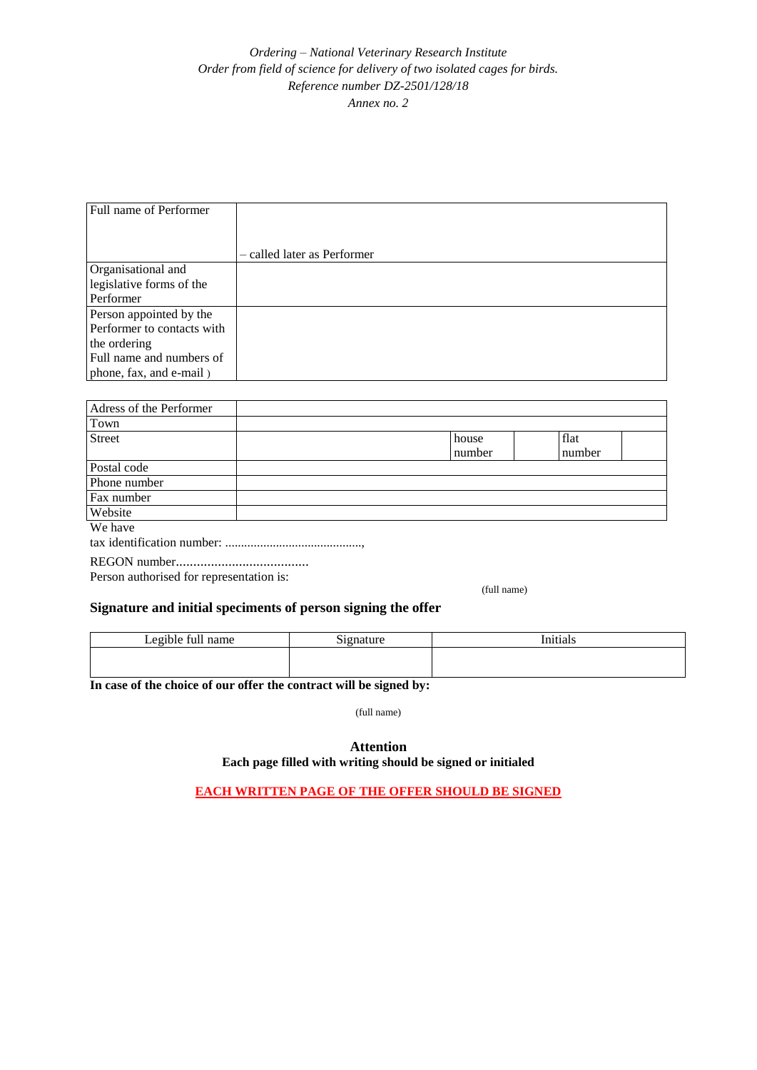## *Ordering – National Veterinary Research Institute Order from field of science for delivery of two isolated cages for birds. Reference number DZ-2501/128/18 Annex no. 2*

| Full name of Performer     |                             |
|----------------------------|-----------------------------|
|                            |                             |
|                            | - called later as Performer |
| Organisational and         |                             |
| legislative forms of the   |                             |
| Performer                  |                             |
| Person appointed by the    |                             |
| Performer to contacts with |                             |
| the ordering               |                             |
| Full name and numbers of   |                             |
| phone, fax, and e-mail)    |                             |

| Adress of the Performer                  |  |        |        |  |
|------------------------------------------|--|--------|--------|--|
| Town                                     |  |        |        |  |
| <b>Street</b>                            |  | house  | flat   |  |
|                                          |  | number | number |  |
| Postal code                              |  |        |        |  |
| Phone number                             |  |        |        |  |
| Fax number                               |  |        |        |  |
| Website                                  |  |        |        |  |
| We have                                  |  |        |        |  |
|                                          |  |        |        |  |
|                                          |  |        |        |  |
| Person authorised for representation is: |  |        |        |  |

(full name)

## **Signature and initial speciments of person signing the offer**

| Legible full<br>name | $\sim$<br>$in$ natur $\alpha$ | Initials |
|----------------------|-------------------------------|----------|
|                      |                               |          |

**In case of the choice of our offer the contract will be signed by:**

(full name)

## **Attention Each page filled with writing should be signed or initialed**

**EACH WRITTEN PAGE OF THE OFFER SHOULD BE SIGNED**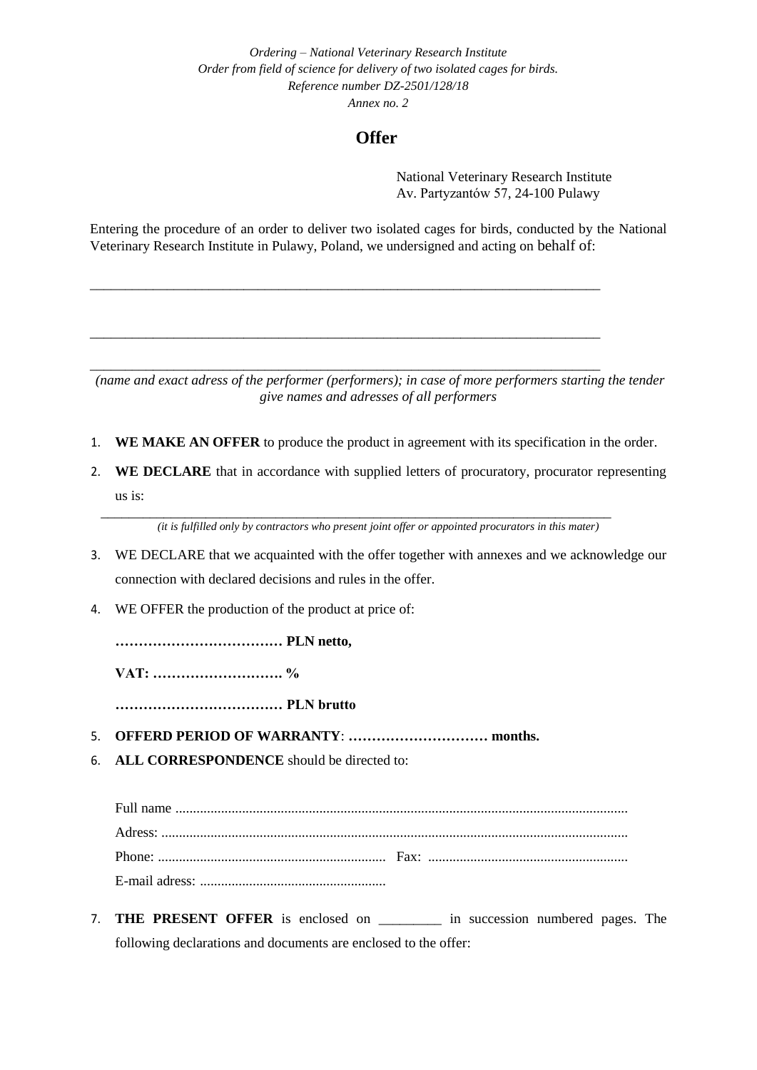*Ordering – National Veterinary Research Institute Order from field of science for delivery of two isolated cages for birds. Reference number DZ-2501/128/18 Annex no. 2*

## **Offer**

National Veterinary Research Institute Av. Partyzantów 57, 24-100 Pulawy

Entering the procedure of an order to deliver two isolated cages for birds, conducted by the National Veterinary Research Institute in Pulawy, Poland, we undersigned and acting on behalf of:

\_\_\_\_\_\_\_\_\_\_\_\_\_\_\_\_\_\_\_\_\_\_\_\_\_\_\_\_\_\_\_\_\_\_\_\_\_\_\_\_\_\_\_\_\_\_\_\_\_\_\_\_\_\_\_\_\_\_\_\_\_\_\_\_\_\_\_\_\_\_\_\_\_

\_\_\_\_\_\_\_\_\_\_\_\_\_\_\_\_\_\_\_\_\_\_\_\_\_\_\_\_\_\_\_\_\_\_\_\_\_\_\_\_\_\_\_\_\_\_\_\_\_\_\_\_\_\_\_\_\_\_\_\_\_\_\_\_\_\_\_\_\_\_\_\_\_

\_\_\_\_\_\_\_\_\_\_\_\_\_\_\_\_\_\_\_\_\_\_\_\_\_\_\_\_\_\_\_\_\_\_\_\_\_\_\_\_\_\_\_\_\_\_\_\_\_\_\_\_\_\_\_\_\_\_\_\_\_\_\_\_\_\_\_\_\_\_\_\_\_

*(name and exact adress of the performer (performers); in case of more performers starting the tender give names and adresses of all performers*

- 1. **WE MAKE AN OFFER** to produce the product in agreement with its specification in the order.
- 2. **WE DECLARE** that in accordance with supplied letters of procuratory, procurator representing us is:

\_\_\_\_\_\_\_\_\_\_\_\_\_\_\_\_\_\_\_\_\_\_\_\_\_\_\_\_\_\_\_\_\_\_\_\_\_\_\_\_\_\_\_\_\_\_\_\_\_\_\_\_\_\_\_\_\_\_\_\_\_\_\_\_\_\_\_\_\_\_\_\_\_ *(it is fulfilled only by contractors who present joint offer or appointed procurators in this mater)*

- 3. WE DECLARE that we acquainted with the offer together with annexes and we acknowledge our connection with declared decisions and rules in the offer.
- 4. WE OFFER the production of the product at price of:

**……………………………… PLN netto,** 

**VAT: ………………………. %**

**……………………………… PLN brutto**

- 5. **OFFERD PERIOD OF WARRANTY**: **………………………… months.**
- 6. **ALL CORRESPONDENCE** should be directed to:

Full name ................................................................................................................................. Adress: ..................................................................................................................................... Phone: ................................................................. Fax: ......................................................... E-mail adress: .....................................................

7. **THE PRESENT OFFER** is enclosed on \_\_\_\_\_\_\_\_\_ in succession numbered pages. The following declarations and documents are enclosed to the offer: